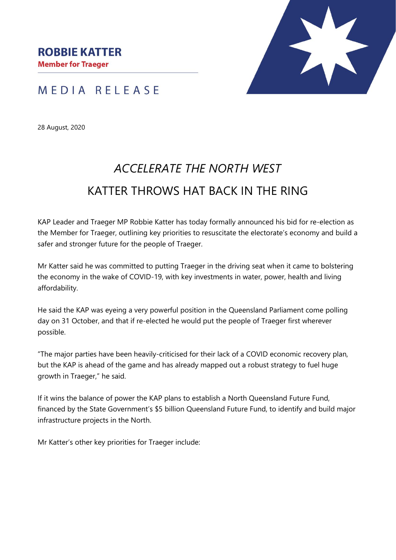

# MEDIA RELEASE

28 August, 2020

# *ACCELERATE THE NORTH WEST* KATTER THROWS HAT BACK IN THE RING

KAP Leader and Traeger MP Robbie Katter has today formally announced his bid for re-election as the Member for Traeger, outlining key priorities to resuscitate the electorate's economy and build a safer and stronger future for the people of Traeger.

Mr Katter said he was committed to putting Traeger in the driving seat when it came to bolstering the economy in the wake of COVID-19, with key investments in water, power, health and living affordability.

He said the KAP was eyeing a very powerful position in the Queensland Parliament come polling day on 31 October, and that if re-elected he would put the people of Traeger first wherever possible.

"The major parties have been heavily-criticised for their lack of a COVID economic recovery plan, but the KAP is ahead of the game and has already mapped out a robust strategy to fuel huge growth in Traeger," he said.

If it wins the balance of power the KAP plans to establish a North Queensland Future Fund, financed by the State Government's \$5 billion Queensland Future Fund, to identify and build major infrastructure projects in the North.

Mr Katter's other key priorities for Traeger include: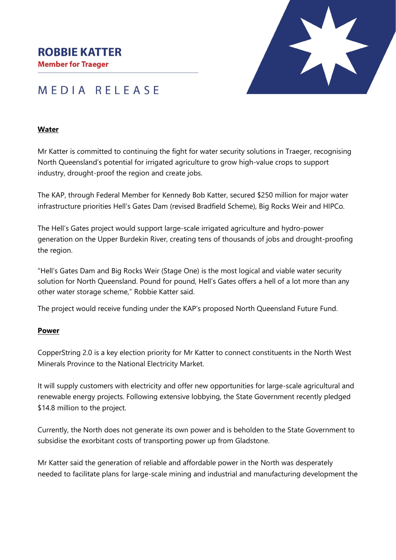**Member for Traeger** 



# MEDIA RELEASE

### **Water**

Mr Katter is committed to continuing the fight for water security solutions in Traeger, recognising North Queensland's potential for irrigated agriculture to grow high-value crops to support industry, drought-proof the region and create jobs.

The KAP, through Federal Member for Kennedy Bob Katter, secured \$250 million for major water infrastructure priorities Hell's Gates Dam (revised Bradfield Scheme), Big Rocks Weir and HIPCo.

The Hell's Gates project would support large-scale irrigated agriculture and hydro-power generation on the Upper Burdekin River, creating tens of thousands of jobs and drought-proofing the region.

"Hell's Gates Dam and Big Rocks Weir (Stage One) is the most logical and viable water security solution for North Queensland. Pound for pound, Hell's Gates offers a hell of a lot more than any other water storage scheme," Robbie Katter said.

The project would receive funding under the KAP's proposed North Queensland Future Fund.

### **Power**

CopperString 2.0 is a key election priority for Mr Katter to connect constituents in the North West Minerals Province to the National Electricity Market.

It will supply customers with electricity and offer new opportunities for large-scale agricultural and renewable energy projects. Following extensive lobbying, the State Government recently pledged \$14.8 million to the project.

Currently, the North does not generate its own power and is beholden to the State Government to subsidise the exorbitant costs of transporting power up from Gladstone.

Mr Katter said the generation of reliable and affordable power in the North was desperately needed to facilitate plans for large-scale mining and industrial and manufacturing development the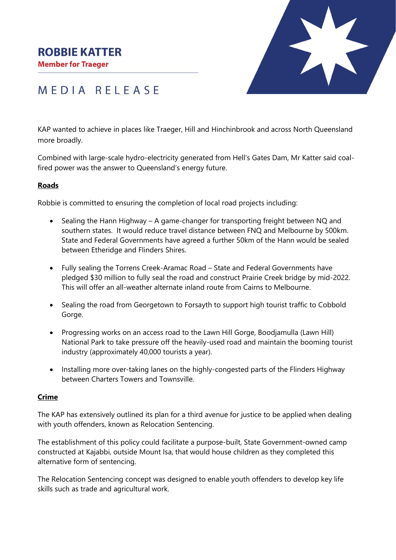**Member for Traeger** 



# MEDIA RELEASE

KAP wanted to achieve in places like Traeger, Hill and Hinchinbrook and across North Queensland more broadly.

Combined with large-scale hydro-electricity generated from Hell's Gates Dam, Mr Katter said coalfired power was the answer to Queensland's energy future.

### **Roads**

Robbie is committed to ensuring the completion of local road projects including:

- Sealing the Hann Highway A game-changer for transporting freight between NQ and southern states. It would reduce travel distance between FNQ and Melbourne by 500km. State and Federal Governments have agreed a further 50km of the Hann would be sealed between Etheridge and Flinders Shires.
- Fully sealing the Torrens Creek-Aramac Road State and Federal Governments have pledged \$30 million to fully seal the road and construct Prairie Creek bridge by mid-2022. This will offer an all-weather alternate inland route from Cairns to Melbourne.
- Sealing the road from Georgetown to Forsayth to support high tourist traffic to Cobbold Gorge.
- Progressing works on an access road to the Lawn Hill Gorge, Boodjamulla (Lawn Hill) National Park to take pressure off the heavily-used road and maintain the booming tourist industry (approximately 40,000 tourists a year).
- Installing more over-taking lanes on the highly-congested parts of the Flinders Highway between Charters Towers and Townsville.

### **Crime**

The KAP has extensively outlined its plan for a third avenue for justice to be applied when dealing with youth offenders, known as Relocation Sentencing.

The establishment of this policy could facilitate a purpose-built, State Government-owned camp constructed at Kajabbi, outside Mount Isa, that would house children as they completed this alternative form of sentencing.

The Relocation Sentencing concept was designed to enable youth offenders to develop key life skills such as trade and agricultural work.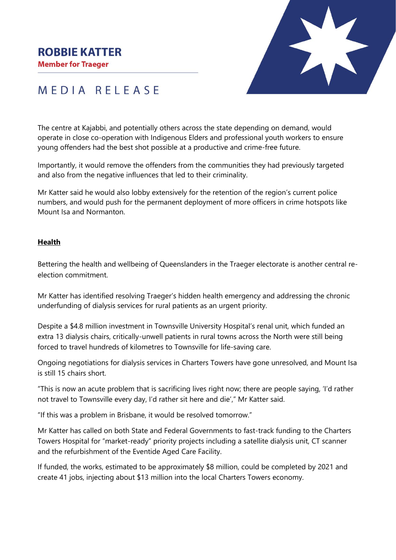**Member for Traeger** 



# MEDIA RELEASE

The centre at Kajabbi, and potentially others across the state depending on demand, would operate in close co-operation with Indigenous Elders and professional youth workers to ensure young offenders had the best shot possible at a productive and crime-free future.

Importantly, it would remove the offenders from the communities they had previously targeted and also from the negative influences that led to their criminality.

Mr Katter said he would also lobby extensively for the retention of the region's current police numbers, and would push for the permanent deployment of more officers in crime hotspots like Mount Isa and Normanton.

### **Health**

Bettering the health and wellbeing of Queenslanders in the Traeger electorate is another central reelection commitment.

Mr Katter has identified resolving Traeger's hidden health emergency and addressing the chronic underfunding of dialysis services for rural patients as an urgent priority.

Despite a \$4.8 million investment in Townsville University Hospital's renal unit, which funded an extra 13 dialysis chairs, critically-unwell patients in rural towns across the North were still being forced to travel hundreds of kilometres to Townsville for life-saving care.

Ongoing negotiations for dialysis services in Charters Towers have gone unresolved, and Mount Isa is still 15 chairs short.

"This is now an acute problem that is sacrificing lives right now; there are people saying, 'I'd rather not travel to Townsville every day, I'd rather sit here and die'," Mr Katter said.

"If this was a problem in Brisbane, it would be resolved tomorrow."

Mr Katter has called on both State and Federal Governments to fast-track funding to the Charters Towers Hospital for "market-ready" priority projects including a satellite dialysis unit, CT scanner and the refurbishment of the Eventide Aged Care Facility.

If funded, the works, estimated to be approximately \$8 million, could be completed by 2021 and create 41 jobs, injecting about \$13 million into the local Charters Towers economy.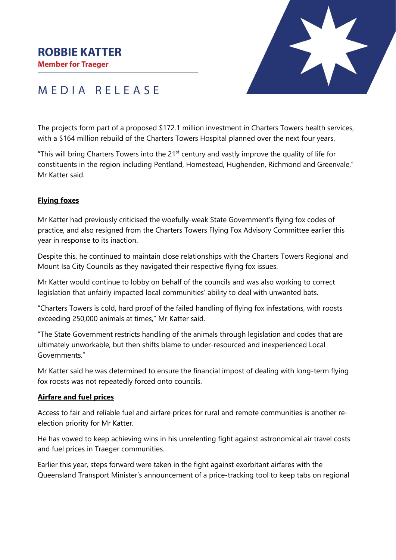**Member for Traeger** 



# MEDIA RELEASE

The projects form part of a proposed \$172.1 million investment in Charters Towers health services, with a \$164 million rebuild of the Charters Towers Hospital planned over the next four years.

"This will bring Charters Towers into the  $21<sup>st</sup>$  century and vastly improve the quality of life for constituents in the region including Pentland, Homestead, Hughenden, Richmond and Greenvale," Mr Katter said.

### **Flying foxes**

Mr Katter had previously criticised the woefully-weak State Government's flying fox codes of practice, and also resigned from the Charters Towers Flying Fox Advisory Committee earlier this year in response to its inaction.

Despite this, he continued to maintain close relationships with the Charters Towers Regional and Mount Isa City Councils as they navigated their respective flying fox issues.

Mr Katter would continue to lobby on behalf of the councils and was also working to correct legislation that unfairly impacted local communities' ability to deal with unwanted bats.

"Charters Towers is cold, hard proof of the failed handling of flying fox infestations, with roosts exceeding 250,000 animals at times," Mr Katter said.

"The State Government restricts handling of the animals through legislation and codes that are ultimately unworkable, but then shifts blame to under-resourced and inexperienced Local Governments."

Mr Katter said he was determined to ensure the financial impost of dealing with long-term flying fox roosts was not repeatedly forced onto councils.

### **Airfare and fuel prices**

Access to fair and reliable fuel and airfare prices for rural and remote communities is another reelection priority for Mr Katter.

He has vowed to keep achieving wins in his unrelenting fight against astronomical air travel costs and fuel prices in Traeger communities.

Earlier this year, steps forward were taken in the fight against exorbitant airfares with the Queensland Transport Minister's announcement of a price-tracking tool to keep tabs on regional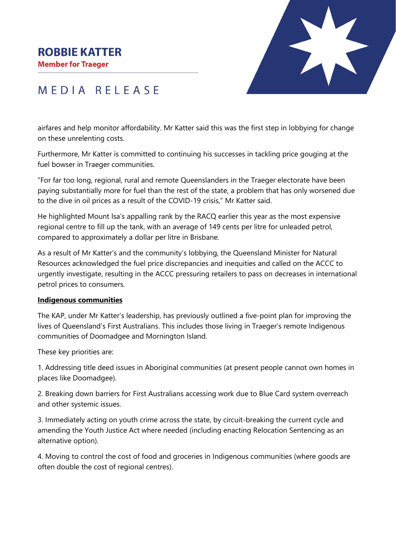**Member for Traeger** 



# MEDIA RELEASE

airfares and help monitor affordability. Mr Katter said this was the first step in lobbying for change on these unrelenting costs.

Furthermore, Mr Katter is committed to continuing his successes in tackling price gouging at the fuel bowser in Traeger communities.

"For far too long, regional, rural and remote Queenslanders in the Traeger electorate have been paying substantially more for fuel than the rest of the state, a problem that has only worsened due to the dive in oil prices as a result of the COVID-19 crisis," Mr Katter said.

He highlighted Mount Isa's appalling rank by the RACQ earlier this year as the most expensive regional centre to fill up the tank, with an average of 149 cents per litre for unleaded petrol, compared to approximately a dollar per litre in Brisbane.

As a result of Mr Katter's and the community's lobbying, the Queensland Minister for Natural Resources acknowledged the fuel price discrepancies and inequities and called on the ACCC to urgently investigate, resulting in the ACCC pressuring retailers to pass on decreases in international petrol prices to consumers.

### **Indigenous communities**

The KAP, under Mr Katter's leadership, has previously outlined a five-point plan for improving the lives of Queensland's First Australians. This includes those living in Traeger's remote Indigenous communities of Doomadgee and Mornington Island.

These key priorities are:

1. Addressing title deed issues in Aboriginal communities (at present people cannot own homes in places like Doomadgee).

2. Breaking down barriers for First Australians accessing work due to Blue Card system overreach and other systemic issues.

3. Immediately acting on youth crime across the state, by circuit-breaking the current cycle and amending the Youth Justice Act where needed (including enacting Relocation Sentencing as an alternative option).

4. Moving to control the cost of food and groceries in Indigenous communities (where goods are often double the cost of regional centres).